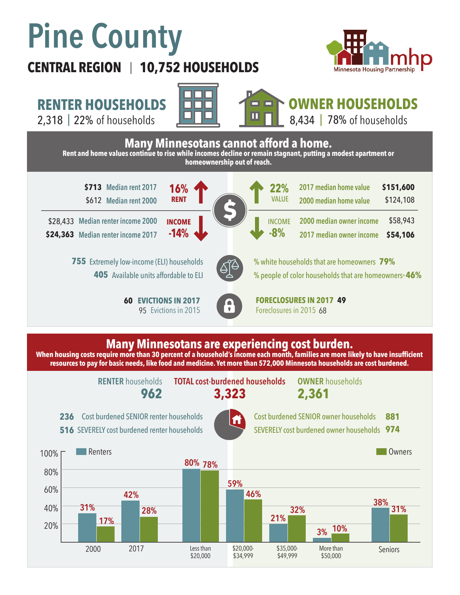## **Pine County**

## **CENTRAL REGION 10,752 HOUSEHOLDS**  |





2,318 | of households 22% 78%





**OWNER HOUSEHOLDS**

8,434 | 78% of households







Cost burdened SENIOR owner households SEVERELY cost burdened owner households **974 881**